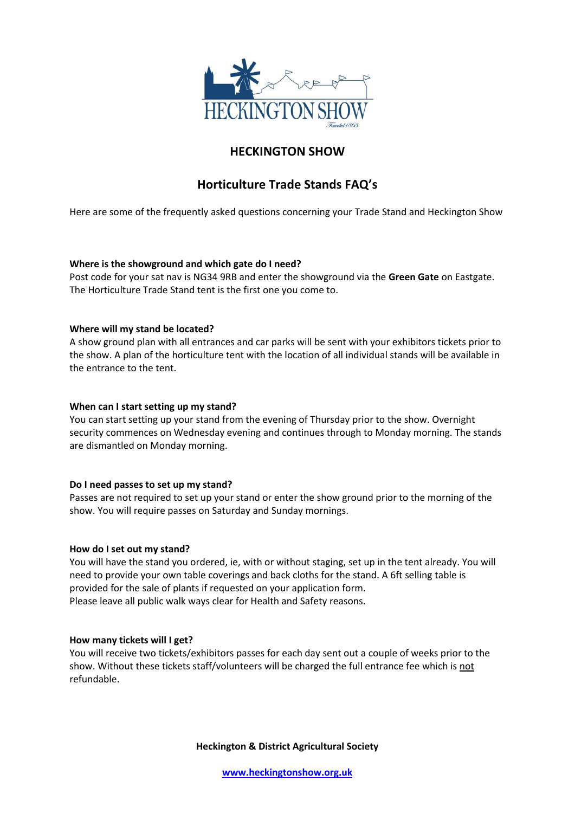

# **HECKINGTON SHOW**

# **Horticulture Trade Stands FAQ's**

Here are some of the frequently asked questions concerning your Trade Stand and Heckington Show

## **Where is the showground and which gate do I need?**

Post code for your sat nav is NG34 9RB and enter the showground via the **Green Gate** on Eastgate. The Horticulture Trade Stand tent is the first one you come to.

## **Where will my stand be located?**

A show ground plan with all entrances and car parks will be sent with your exhibitors tickets prior to the show. A plan of the horticulture tent with the location of all individual stands will be available in the entrance to the tent.

#### **When can I start setting up my stand?**

You can start setting up your stand from the evening of Thursday prior to the show. Overnight security commences on Wednesday evening and continues through to Monday morning. The stands are dismantled on Monday morning.

#### **Do I need passes to set up my stand?**

Passes are not required to set up your stand or enter the show ground prior to the morning of the show. You will require passes on Saturday and Sunday mornings.

#### **How do I set out my stand?**

You will have the stand you ordered, ie, with or without staging, set up in the tent already. You will need to provide your own table coverings and back cloths for the stand. A 6ft selling table is provided for the sale of plants if requested on your application form. Please leave all public walk ways clear for Health and Safety reasons.

#### **How many tickets will I get?**

You will receive two tickets/exhibitors passes for each day sent out a couple of weeks prior to the show. Without these tickets staff/volunteers will be charged the full entrance fee which is not refundable.

**Heckington & District Agricultural Society**